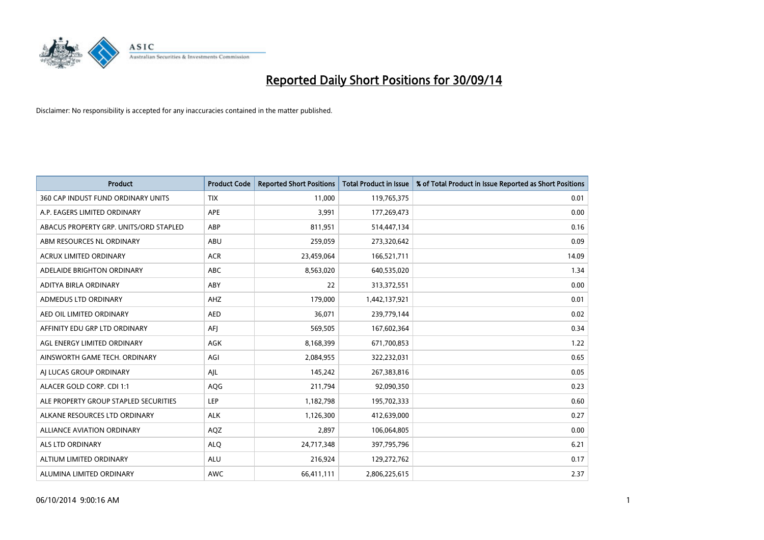

| <b>Product</b>                         | <b>Product Code</b> | <b>Reported Short Positions</b> | <b>Total Product in Issue</b> | % of Total Product in Issue Reported as Short Positions |
|----------------------------------------|---------------------|---------------------------------|-------------------------------|---------------------------------------------------------|
| 360 CAP INDUST FUND ORDINARY UNITS     | <b>TIX</b>          | 11,000                          | 119,765,375                   | 0.01                                                    |
| A.P. EAGERS LIMITED ORDINARY           | APE                 | 3,991                           | 177,269,473                   | 0.00                                                    |
| ABACUS PROPERTY GRP. UNITS/ORD STAPLED | ABP                 | 811,951                         | 514,447,134                   | 0.16                                                    |
| ABM RESOURCES NL ORDINARY              | ABU                 | 259,059                         | 273,320,642                   | 0.09                                                    |
| <b>ACRUX LIMITED ORDINARY</b>          | <b>ACR</b>          | 23,459,064                      | 166,521,711                   | 14.09                                                   |
| ADELAIDE BRIGHTON ORDINARY             | <b>ABC</b>          | 8,563,020                       | 640,535,020                   | 1.34                                                    |
| ADITYA BIRLA ORDINARY                  | ABY                 | 22                              | 313,372,551                   | 0.00                                                    |
| ADMEDUS LTD ORDINARY                   | AHZ                 | 179,000                         | 1,442,137,921                 | 0.01                                                    |
| AED OIL LIMITED ORDINARY               | <b>AED</b>          | 36,071                          | 239,779,144                   | 0.02                                                    |
| AFFINITY EDU GRP LTD ORDINARY          | AFI                 | 569,505                         | 167,602,364                   | 0.34                                                    |
| AGL ENERGY LIMITED ORDINARY            | AGK                 | 8,168,399                       | 671,700,853                   | 1.22                                                    |
| AINSWORTH GAME TECH. ORDINARY          | AGI                 | 2,084,955                       | 322,232,031                   | 0.65                                                    |
| AI LUCAS GROUP ORDINARY                | AJL                 | 145,242                         | 267,383,816                   | 0.05                                                    |
| ALACER GOLD CORP. CDI 1:1              | AQG                 | 211,794                         | 92,090,350                    | 0.23                                                    |
| ALE PROPERTY GROUP STAPLED SECURITIES  | <b>LEP</b>          | 1,182,798                       | 195,702,333                   | 0.60                                                    |
| ALKANE RESOURCES LTD ORDINARY          | <b>ALK</b>          | 1,126,300                       | 412,639,000                   | 0.27                                                    |
| ALLIANCE AVIATION ORDINARY             | AQZ                 | 2,897                           | 106,064,805                   | 0.00                                                    |
| <b>ALS LTD ORDINARY</b>                | <b>ALQ</b>          | 24,717,348                      | 397,795,796                   | 6.21                                                    |
| ALTIUM LIMITED ORDINARY                | <b>ALU</b>          | 216,924                         | 129,272,762                   | 0.17                                                    |
| ALUMINA LIMITED ORDINARY               | <b>AWC</b>          | 66,411,111                      | 2,806,225,615                 | 2.37                                                    |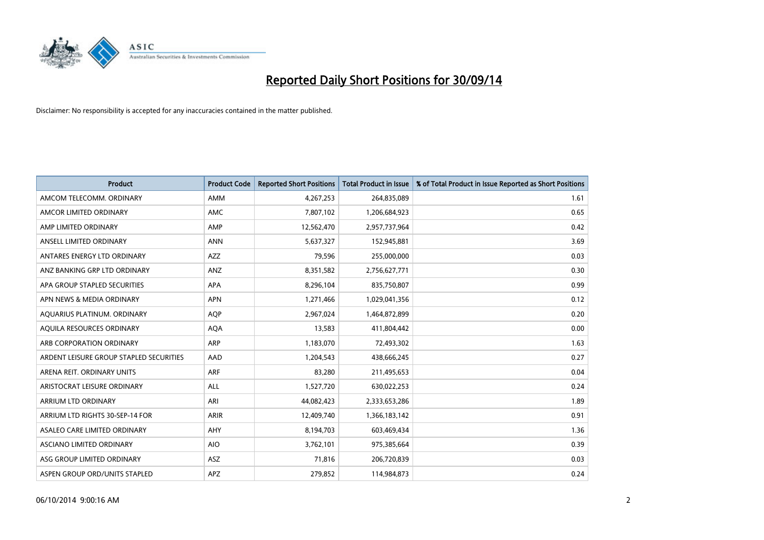

| <b>Product</b>                          | <b>Product Code</b> | <b>Reported Short Positions</b> | <b>Total Product in Issue</b> | % of Total Product in Issue Reported as Short Positions |
|-----------------------------------------|---------------------|---------------------------------|-------------------------------|---------------------------------------------------------|
| AMCOM TELECOMM, ORDINARY                | AMM                 | 4,267,253                       | 264,835,089                   | 1.61                                                    |
| AMCOR LIMITED ORDINARY                  | AMC                 | 7,807,102                       | 1,206,684,923                 | 0.65                                                    |
| AMP LIMITED ORDINARY                    | AMP                 | 12,562,470                      | 2,957,737,964                 | 0.42                                                    |
| ANSELL LIMITED ORDINARY                 | <b>ANN</b>          | 5,637,327                       | 152,945,881                   | 3.69                                                    |
| ANTARES ENERGY LTD ORDINARY             | AZZ                 | 79,596                          | 255,000,000                   | 0.03                                                    |
| ANZ BANKING GRP LTD ORDINARY            | ANZ                 | 8,351,582                       | 2,756,627,771                 | 0.30                                                    |
| APA GROUP STAPLED SECURITIES            | APA                 | 8,296,104                       | 835,750,807                   | 0.99                                                    |
| APN NEWS & MEDIA ORDINARY               | <b>APN</b>          | 1,271,466                       | 1,029,041,356                 | 0.12                                                    |
| AQUARIUS PLATINUM. ORDINARY             | <b>AQP</b>          | 2,967,024                       | 1,464,872,899                 | 0.20                                                    |
| AQUILA RESOURCES ORDINARY               | <b>AQA</b>          | 13,583                          | 411,804,442                   | 0.00                                                    |
| ARB CORPORATION ORDINARY                | <b>ARP</b>          | 1,183,070                       | 72,493,302                    | 1.63                                                    |
| ARDENT LEISURE GROUP STAPLED SECURITIES | AAD                 | 1,204,543                       | 438,666,245                   | 0.27                                                    |
| ARENA REIT. ORDINARY UNITS              | <b>ARF</b>          | 83,280                          | 211,495,653                   | 0.04                                                    |
| ARISTOCRAT LEISURE ORDINARY             | ALL                 | 1,527,720                       | 630,022,253                   | 0.24                                                    |
| ARRIUM LTD ORDINARY                     | ARI                 | 44,082,423                      | 2,333,653,286                 | 1.89                                                    |
| ARRIUM LTD RIGHTS 30-SEP-14 FOR         | <b>ARIR</b>         | 12,409,740                      | 1,366,183,142                 | 0.91                                                    |
| ASALEO CARE LIMITED ORDINARY            | AHY                 | 8,194,703                       | 603,469,434                   | 1.36                                                    |
| ASCIANO LIMITED ORDINARY                | <b>AIO</b>          | 3,762,101                       | 975,385,664                   | 0.39                                                    |
| ASG GROUP LIMITED ORDINARY              | ASZ                 | 71,816                          | 206,720,839                   | 0.03                                                    |
| ASPEN GROUP ORD/UNITS STAPLED           | APZ                 | 279,852                         | 114,984,873                   | 0.24                                                    |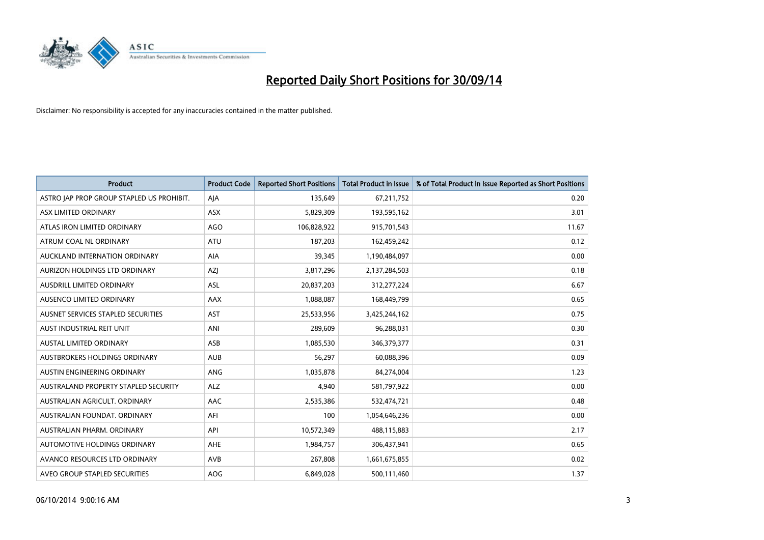

| <b>Product</b>                            | <b>Product Code</b> | <b>Reported Short Positions</b> | <b>Total Product in Issue</b> | % of Total Product in Issue Reported as Short Positions |
|-------------------------------------------|---------------------|---------------------------------|-------------------------------|---------------------------------------------------------|
| ASTRO JAP PROP GROUP STAPLED US PROHIBIT. | AJA                 | 135,649                         | 67,211,752                    | 0.20                                                    |
| ASX LIMITED ORDINARY                      | ASX                 | 5,829,309                       | 193,595,162                   | 3.01                                                    |
| ATLAS IRON LIMITED ORDINARY               | AGO                 | 106,828,922                     | 915,701,543                   | 11.67                                                   |
| ATRUM COAL NL ORDINARY                    | ATU                 | 187,203                         | 162,459,242                   | 0.12                                                    |
| AUCKLAND INTERNATION ORDINARY             | AIA                 | 39,345                          | 1,190,484,097                 | 0.00                                                    |
| AURIZON HOLDINGS LTD ORDINARY             | AZJ                 | 3,817,296                       | 2,137,284,503                 | 0.18                                                    |
| AUSDRILL LIMITED ORDINARY                 | ASL                 | 20,837,203                      | 312,277,224                   | 6.67                                                    |
| AUSENCO LIMITED ORDINARY                  | AAX                 | 1,088,087                       | 168,449,799                   | 0.65                                                    |
| AUSNET SERVICES STAPLED SECURITIES        | <b>AST</b>          | 25,533,956                      | 3,425,244,162                 | 0.75                                                    |
| AUST INDUSTRIAL REIT UNIT                 | ANI                 | 289,609                         | 96,288,031                    | 0.30                                                    |
| AUSTAL LIMITED ORDINARY                   | ASB                 | 1,085,530                       | 346,379,377                   | 0.31                                                    |
| AUSTBROKERS HOLDINGS ORDINARY             | <b>AUB</b>          | 56,297                          | 60,088,396                    | 0.09                                                    |
| AUSTIN ENGINEERING ORDINARY               | ANG                 | 1,035,878                       | 84,274,004                    | 1.23                                                    |
| AUSTRALAND PROPERTY STAPLED SECURITY      | <b>ALZ</b>          | 4,940                           | 581,797,922                   | 0.00                                                    |
| AUSTRALIAN AGRICULT, ORDINARY             | <b>AAC</b>          | 2,535,386                       | 532,474,721                   | 0.48                                                    |
| AUSTRALIAN FOUNDAT. ORDINARY              | AFI                 | 100                             | 1,054,646,236                 | 0.00                                                    |
| AUSTRALIAN PHARM. ORDINARY                | API                 | 10,572,349                      | 488,115,883                   | 2.17                                                    |
| AUTOMOTIVE HOLDINGS ORDINARY              | AHE                 | 1,984,757                       | 306,437,941                   | 0.65                                                    |
| AVANCO RESOURCES LTD ORDINARY             | AVB                 | 267,808                         | 1,661,675,855                 | 0.02                                                    |
| AVEO GROUP STAPLED SECURITIES             | AOG                 | 6,849,028                       | 500,111,460                   | 1.37                                                    |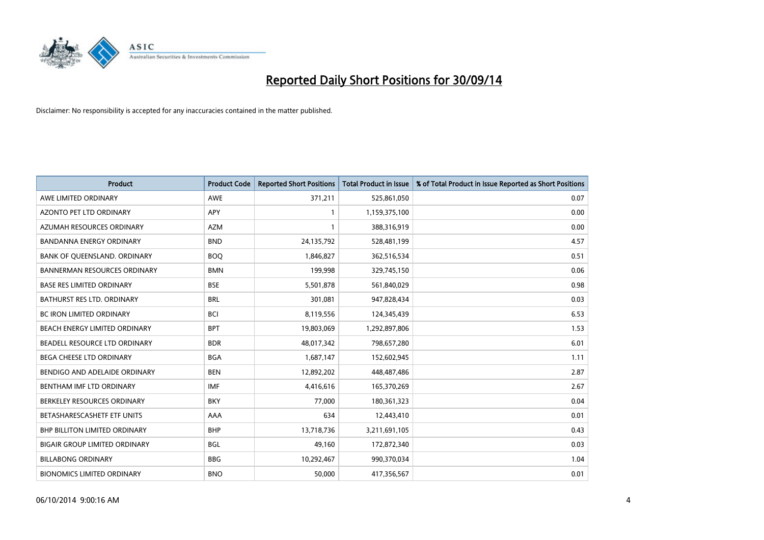

| <b>Product</b>                       | <b>Product Code</b> | <b>Reported Short Positions</b> | <b>Total Product in Issue</b> | % of Total Product in Issue Reported as Short Positions |
|--------------------------------------|---------------------|---------------------------------|-------------------------------|---------------------------------------------------------|
| AWE LIMITED ORDINARY                 | <b>AWE</b>          | 371,211                         | 525,861,050                   | 0.07                                                    |
| AZONTO PET LTD ORDINARY              | APY                 | 1                               | 1,159,375,100                 | 0.00                                                    |
| AZUMAH RESOURCES ORDINARY            | <b>AZM</b>          | $\mathbf{1}$                    | 388,316,919                   | 0.00                                                    |
| BANDANNA ENERGY ORDINARY             | <b>BND</b>          | 24,135,792                      | 528,481,199                   | 4.57                                                    |
| BANK OF QUEENSLAND. ORDINARY         | <b>BOQ</b>          | 1,846,827                       | 362,516,534                   | 0.51                                                    |
| <b>BANNERMAN RESOURCES ORDINARY</b>  | <b>BMN</b>          | 199,998                         | 329,745,150                   | 0.06                                                    |
| <b>BASE RES LIMITED ORDINARY</b>     | <b>BSE</b>          | 5,501,878                       | 561,840,029                   | 0.98                                                    |
| BATHURST RES LTD. ORDINARY           | <b>BRL</b>          | 301,081                         | 947,828,434                   | 0.03                                                    |
| <b>BC IRON LIMITED ORDINARY</b>      | <b>BCI</b>          | 8,119,556                       | 124,345,439                   | 6.53                                                    |
| BEACH ENERGY LIMITED ORDINARY        | <b>BPT</b>          | 19,803,069                      | 1,292,897,806                 | 1.53                                                    |
| BEADELL RESOURCE LTD ORDINARY        | <b>BDR</b>          | 48,017,342                      | 798,657,280                   | 6.01                                                    |
| <b>BEGA CHEESE LTD ORDINARY</b>      | <b>BGA</b>          | 1,687,147                       | 152,602,945                   | 1.11                                                    |
| BENDIGO AND ADELAIDE ORDINARY        | <b>BEN</b>          | 12,892,202                      | 448,487,486                   | 2.87                                                    |
| BENTHAM IMF LTD ORDINARY             | <b>IMF</b>          | 4,416,616                       | 165,370,269                   | 2.67                                                    |
| BERKELEY RESOURCES ORDINARY          | <b>BKY</b>          | 77,000                          | 180,361,323                   | 0.04                                                    |
| BETASHARESCASHETF ETF UNITS          | AAA                 | 634                             | 12,443,410                    | 0.01                                                    |
| BHP BILLITON LIMITED ORDINARY        | <b>BHP</b>          | 13,718,736                      | 3,211,691,105                 | 0.43                                                    |
| <b>BIGAIR GROUP LIMITED ORDINARY</b> | <b>BGL</b>          | 49,160                          | 172,872,340                   | 0.03                                                    |
| <b>BILLABONG ORDINARY</b>            | <b>BBG</b>          | 10,292,467                      | 990,370,034                   | 1.04                                                    |
| <b>BIONOMICS LIMITED ORDINARY</b>    | <b>BNO</b>          | 50,000                          | 417,356,567                   | 0.01                                                    |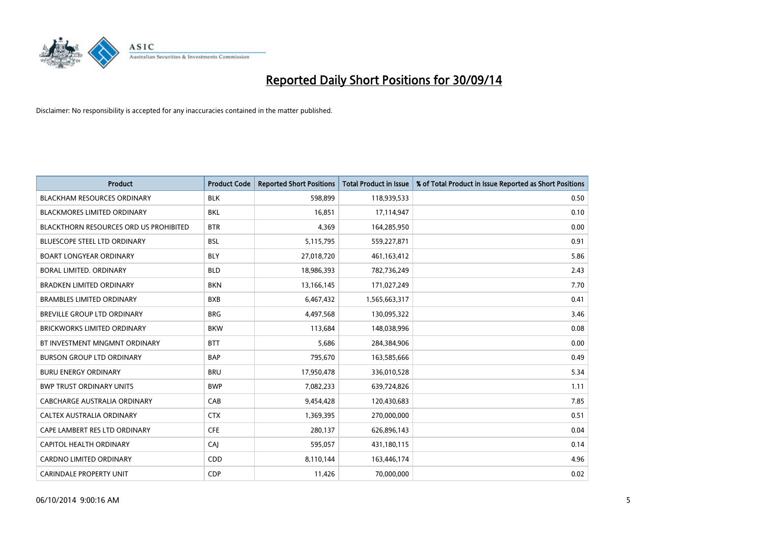

| <b>Product</b>                                | <b>Product Code</b> | <b>Reported Short Positions</b> | <b>Total Product in Issue</b> | % of Total Product in Issue Reported as Short Positions |
|-----------------------------------------------|---------------------|---------------------------------|-------------------------------|---------------------------------------------------------|
| <b>BLACKHAM RESOURCES ORDINARY</b>            | <b>BLK</b>          | 598,899                         | 118,939,533                   | 0.50                                                    |
| <b>BLACKMORES LIMITED ORDINARY</b>            | BKL                 | 16,851                          | 17,114,947                    | 0.10                                                    |
| <b>BLACKTHORN RESOURCES ORD US PROHIBITED</b> | <b>BTR</b>          | 4,369                           | 164,285,950                   | 0.00                                                    |
| BLUESCOPE STEEL LTD ORDINARY                  | <b>BSL</b>          | 5,115,795                       | 559,227,871                   | 0.91                                                    |
| <b>BOART LONGYEAR ORDINARY</b>                | <b>BLY</b>          | 27,018,720                      | 461, 163, 412                 | 5.86                                                    |
| BORAL LIMITED. ORDINARY                       | <b>BLD</b>          | 18,986,393                      | 782,736,249                   | 2.43                                                    |
| <b>BRADKEN LIMITED ORDINARY</b>               | <b>BKN</b>          | 13,166,145                      | 171,027,249                   | 7.70                                                    |
| <b>BRAMBLES LIMITED ORDINARY</b>              | <b>BXB</b>          | 6,467,432                       | 1,565,663,317                 | 0.41                                                    |
| <b>BREVILLE GROUP LTD ORDINARY</b>            | <b>BRG</b>          | 4,497,568                       | 130,095,322                   | 3.46                                                    |
| <b>BRICKWORKS LIMITED ORDINARY</b>            | <b>BKW</b>          | 113,684                         | 148,038,996                   | 0.08                                                    |
| BT INVESTMENT MNGMNT ORDINARY                 | <b>BTT</b>          | 5,686                           | 284,384,906                   | 0.00                                                    |
| <b>BURSON GROUP LTD ORDINARY</b>              | <b>BAP</b>          | 795,670                         | 163,585,666                   | 0.49                                                    |
| <b>BURU ENERGY ORDINARY</b>                   | <b>BRU</b>          | 17,950,478                      | 336,010,528                   | 5.34                                                    |
| <b>BWP TRUST ORDINARY UNITS</b>               | <b>BWP</b>          | 7,082,233                       | 639,724,826                   | 1.11                                                    |
| CABCHARGE AUSTRALIA ORDINARY                  | CAB                 | 9,454,428                       | 120,430,683                   | 7.85                                                    |
| CALTEX AUSTRALIA ORDINARY                     | <b>CTX</b>          | 1,369,395                       | 270,000,000                   | 0.51                                                    |
| CAPE LAMBERT RES LTD ORDINARY                 | <b>CFE</b>          | 280,137                         | 626,896,143                   | 0.04                                                    |
| <b>CAPITOL HEALTH ORDINARY</b>                | <b>CAJ</b>          | 595,057                         | 431,180,115                   | 0.14                                                    |
| <b>CARDNO LIMITED ORDINARY</b>                | CDD                 | 8,110,144                       | 163,446,174                   | 4.96                                                    |
| <b>CARINDALE PROPERTY UNIT</b>                | <b>CDP</b>          | 11,426                          | 70,000,000                    | 0.02                                                    |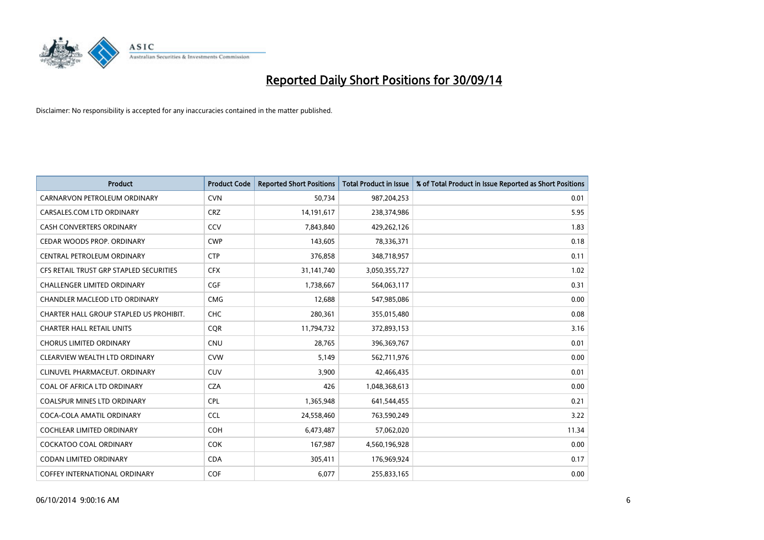

| <b>Product</b>                          | <b>Product Code</b> | <b>Reported Short Positions</b> | <b>Total Product in Issue</b> | % of Total Product in Issue Reported as Short Positions |
|-----------------------------------------|---------------------|---------------------------------|-------------------------------|---------------------------------------------------------|
| CARNARVON PETROLEUM ORDINARY            | <b>CVN</b>          | 50,734                          | 987,204,253                   | 0.01                                                    |
| CARSALES.COM LTD ORDINARY               | <b>CRZ</b>          | 14,191,617                      | 238,374,986                   | 5.95                                                    |
| CASH CONVERTERS ORDINARY                | <b>CCV</b>          | 7,843,840                       | 429,262,126                   | 1.83                                                    |
| CEDAR WOODS PROP. ORDINARY              | <b>CWP</b>          | 143,605                         | 78,336,371                    | 0.18                                                    |
| CENTRAL PETROLEUM ORDINARY              | <b>CTP</b>          | 376,858                         | 348,718,957                   | 0.11                                                    |
| CFS RETAIL TRUST GRP STAPLED SECURITIES | <b>CFX</b>          | 31,141,740                      | 3,050,355,727                 | 1.02                                                    |
| <b>CHALLENGER LIMITED ORDINARY</b>      | <b>CGF</b>          | 1,738,667                       | 564,063,117                   | 0.31                                                    |
| CHANDLER MACLEOD LTD ORDINARY           | <b>CMG</b>          | 12,688                          | 547,985,086                   | 0.00                                                    |
| CHARTER HALL GROUP STAPLED US PROHIBIT. | <b>CHC</b>          | 280,361                         | 355,015,480                   | 0.08                                                    |
| <b>CHARTER HALL RETAIL UNITS</b>        | <b>CQR</b>          | 11,794,732                      | 372,893,153                   | 3.16                                                    |
| <b>CHORUS LIMITED ORDINARY</b>          | <b>CNU</b>          | 28,765                          | 396,369,767                   | 0.01                                                    |
| CLEARVIEW WEALTH LTD ORDINARY           | <b>CVW</b>          | 5,149                           | 562,711,976                   | 0.00                                                    |
| CLINUVEL PHARMACEUT, ORDINARY           | <b>CUV</b>          | 3,900                           | 42,466,435                    | 0.01                                                    |
| COAL OF AFRICA LTD ORDINARY             | <b>CZA</b>          | 426                             | 1,048,368,613                 | 0.00                                                    |
| <b>COALSPUR MINES LTD ORDINARY</b>      | <b>CPL</b>          | 1,365,948                       | 641,544,455                   | 0.21                                                    |
| COCA-COLA AMATIL ORDINARY               | <b>CCL</b>          | 24,558,460                      | 763,590,249                   | 3.22                                                    |
| COCHLEAR LIMITED ORDINARY               | <b>COH</b>          | 6,473,487                       | 57,062,020                    | 11.34                                                   |
| <b>COCKATOO COAL ORDINARY</b>           | <b>COK</b>          | 167,987                         | 4,560,196,928                 | 0.00                                                    |
| <b>CODAN LIMITED ORDINARY</b>           | <b>CDA</b>          | 305,411                         | 176,969,924                   | 0.17                                                    |
| COFFEY INTERNATIONAL ORDINARY           | <b>COF</b>          | 6,077                           | 255,833,165                   | 0.00                                                    |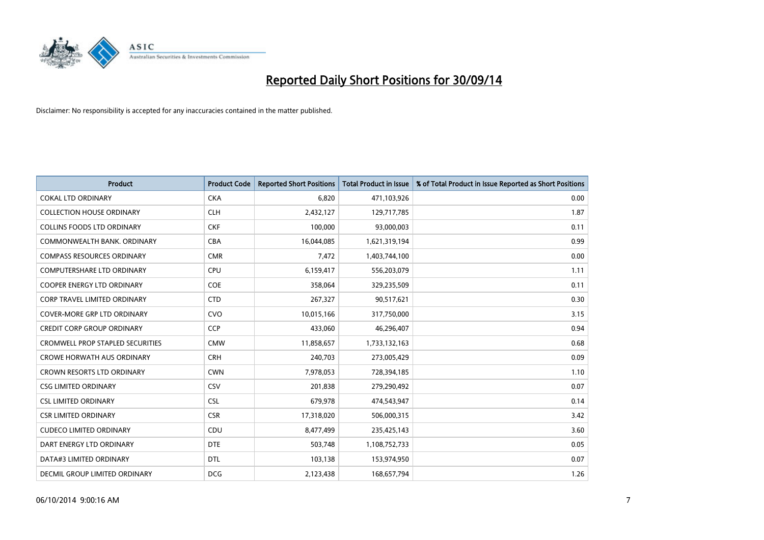

| <b>Product</b>                      | <b>Product Code</b> | <b>Reported Short Positions</b> | <b>Total Product in Issue</b> | % of Total Product in Issue Reported as Short Positions |
|-------------------------------------|---------------------|---------------------------------|-------------------------------|---------------------------------------------------------|
| <b>COKAL LTD ORDINARY</b>           | <b>CKA</b>          | 6,820                           | 471,103,926                   | 0.00                                                    |
| <b>COLLECTION HOUSE ORDINARY</b>    | <b>CLH</b>          | 2,432,127                       | 129,717,785                   | 1.87                                                    |
| <b>COLLINS FOODS LTD ORDINARY</b>   | <b>CKF</b>          | 100,000                         | 93,000,003                    | 0.11                                                    |
| COMMONWEALTH BANK, ORDINARY         | <b>CBA</b>          | 16,044,085                      | 1,621,319,194                 | 0.99                                                    |
| <b>COMPASS RESOURCES ORDINARY</b>   | <b>CMR</b>          | 7,472                           | 1,403,744,100                 | 0.00                                                    |
| <b>COMPUTERSHARE LTD ORDINARY</b>   | <b>CPU</b>          | 6,159,417                       | 556,203,079                   | 1.11                                                    |
| <b>COOPER ENERGY LTD ORDINARY</b>   | <b>COE</b>          | 358,064                         | 329,235,509                   | 0.11                                                    |
| <b>CORP TRAVEL LIMITED ORDINARY</b> | <b>CTD</b>          | 267,327                         | 90,517,621                    | 0.30                                                    |
| <b>COVER-MORE GRP LTD ORDINARY</b>  | <b>CVO</b>          | 10,015,166                      | 317,750,000                   | 3.15                                                    |
| <b>CREDIT CORP GROUP ORDINARY</b>   | CCP                 | 433,060                         | 46,296,407                    | 0.94                                                    |
| CROMWELL PROP STAPLED SECURITIES    | <b>CMW</b>          | 11,858,657                      | 1,733,132,163                 | 0.68                                                    |
| <b>CROWE HORWATH AUS ORDINARY</b>   | <b>CRH</b>          | 240,703                         | 273,005,429                   | 0.09                                                    |
| CROWN RESORTS LTD ORDINARY          | <b>CWN</b>          | 7,978,053                       | 728,394,185                   | 1.10                                                    |
| <b>CSG LIMITED ORDINARY</b>         | CSV                 | 201,838                         | 279,290,492                   | 0.07                                                    |
| <b>CSL LIMITED ORDINARY</b>         | <b>CSL</b>          | 679,978                         | 474,543,947                   | 0.14                                                    |
| <b>CSR LIMITED ORDINARY</b>         | <b>CSR</b>          | 17,318,020                      | 506,000,315                   | 3.42                                                    |
| <b>CUDECO LIMITED ORDINARY</b>      | CDU                 | 8,477,499                       | 235,425,143                   | 3.60                                                    |
| DART ENERGY LTD ORDINARY            | <b>DTE</b>          | 503,748                         | 1,108,752,733                 | 0.05                                                    |
| DATA#3 LIMITED ORDINARY             | <b>DTL</b>          | 103,138                         | 153,974,950                   | 0.07                                                    |
| DECMIL GROUP LIMITED ORDINARY       | <b>DCG</b>          | 2,123,438                       | 168,657,794                   | 1.26                                                    |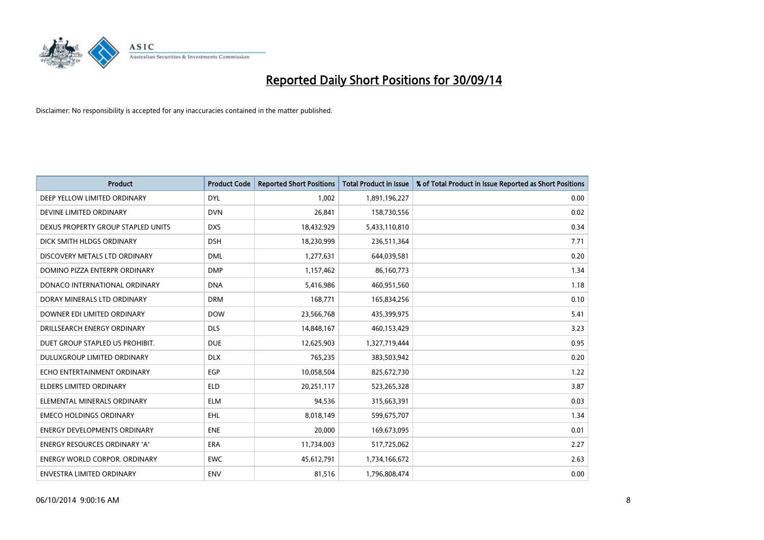

| <b>Product</b>                       | <b>Product Code</b> | <b>Reported Short Positions</b> | <b>Total Product in Issue</b> | % of Total Product in Issue Reported as Short Positions |
|--------------------------------------|---------------------|---------------------------------|-------------------------------|---------------------------------------------------------|
| DEEP YELLOW LIMITED ORDINARY         | <b>DYL</b>          | 1,002                           | 1,891,196,227                 | 0.00                                                    |
| DEVINE LIMITED ORDINARY              | <b>DVN</b>          | 26,841                          | 158,730,556                   | 0.02                                                    |
| DEXUS PROPERTY GROUP STAPLED UNITS   | <b>DXS</b>          | 18,432,929                      | 5,433,110,810                 | 0.34                                                    |
| DICK SMITH HLDGS ORDINARY            | <b>DSH</b>          | 18,230,999                      | 236,511,364                   | 7.71                                                    |
| DISCOVERY METALS LTD ORDINARY        | <b>DML</b>          | 1,277,631                       | 644,039,581                   | 0.20                                                    |
| DOMINO PIZZA ENTERPR ORDINARY        | <b>DMP</b>          | 1,157,462                       | 86,160,773                    | 1.34                                                    |
| DONACO INTERNATIONAL ORDINARY        | <b>DNA</b>          | 5,416,986                       | 460,951,560                   | 1.18                                                    |
| DORAY MINERALS LTD ORDINARY          | <b>DRM</b>          | 168,771                         | 165,834,256                   | 0.10                                                    |
| DOWNER EDI LIMITED ORDINARY          | <b>DOW</b>          | 23,566,768                      | 435,399,975                   | 5.41                                                    |
| DRILLSEARCH ENERGY ORDINARY          | <b>DLS</b>          | 14,848,167                      | 460,153,429                   | 3.23                                                    |
| DUET GROUP STAPLED US PROHIBIT.      | <b>DUE</b>          | 12,625,903                      | 1,327,719,444                 | 0.95                                                    |
| <b>DULUXGROUP LIMITED ORDINARY</b>   | <b>DLX</b>          | 765,235                         | 383,503,942                   | 0.20                                                    |
| ECHO ENTERTAINMENT ORDINARY          | <b>EGP</b>          | 10,058,504                      | 825,672,730                   | 1.22                                                    |
| <b>ELDERS LIMITED ORDINARY</b>       | <b>ELD</b>          | 20,251,117                      | 523,265,328                   | 3.87                                                    |
| ELEMENTAL MINERALS ORDINARY          | <b>ELM</b>          | 94,536                          | 315,663,391                   | 0.03                                                    |
| <b>EMECO HOLDINGS ORDINARY</b>       | <b>EHL</b>          | 8,018,149                       | 599,675,707                   | 1.34                                                    |
| ENERGY DEVELOPMENTS ORDINARY         | <b>ENE</b>          | 20,000                          | 169,673,095                   | 0.01                                                    |
| <b>ENERGY RESOURCES ORDINARY 'A'</b> | <b>ERA</b>          | 11,734,003                      | 517,725,062                   | 2.27                                                    |
| <b>ENERGY WORLD CORPOR, ORDINARY</b> | <b>EWC</b>          | 45,612,791                      | 1,734,166,672                 | 2.63                                                    |
| ENVESTRA LIMITED ORDINARY            | ENV                 | 81,516                          | 1,796,808,474                 | 0.00                                                    |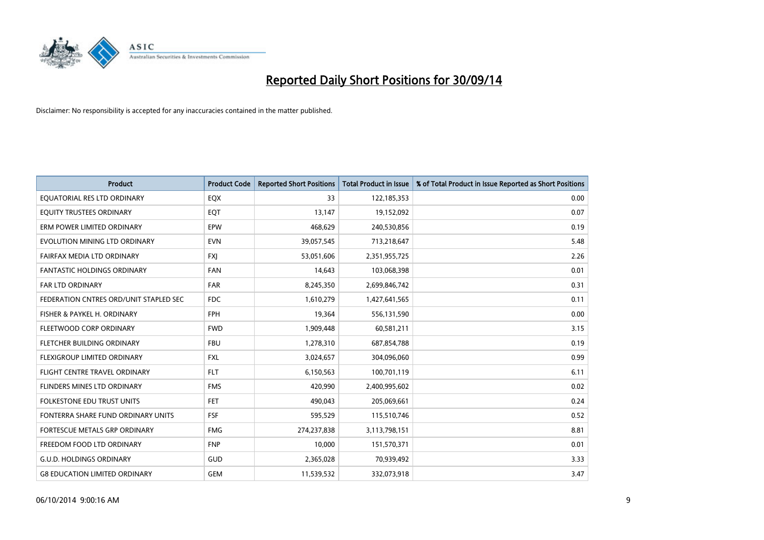

| <b>Product</b>                         | <b>Product Code</b> | <b>Reported Short Positions</b> | <b>Total Product in Issue</b> | % of Total Product in Issue Reported as Short Positions |
|----------------------------------------|---------------------|---------------------------------|-------------------------------|---------------------------------------------------------|
| EQUATORIAL RES LTD ORDINARY            | EQX                 | 33                              | 122,185,353                   | 0.00                                                    |
| EQUITY TRUSTEES ORDINARY               | EQT                 | 13,147                          | 19,152,092                    | 0.07                                                    |
| ERM POWER LIMITED ORDINARY             | <b>EPW</b>          | 468,629                         | 240,530,856                   | 0.19                                                    |
| EVOLUTION MINING LTD ORDINARY          | <b>EVN</b>          | 39,057,545                      | 713,218,647                   | 5.48                                                    |
| FAIRFAX MEDIA LTD ORDINARY             | <b>FXI</b>          | 53,051,606                      | 2,351,955,725                 | 2.26                                                    |
| <b>FANTASTIC HOLDINGS ORDINARY</b>     | <b>FAN</b>          | 14,643                          | 103,068,398                   | 0.01                                                    |
| FAR LTD ORDINARY                       | <b>FAR</b>          | 8,245,350                       | 2,699,846,742                 | 0.31                                                    |
| FEDERATION CNTRES ORD/UNIT STAPLED SEC | <b>FDC</b>          | 1,610,279                       | 1,427,641,565                 | 0.11                                                    |
| FISHER & PAYKEL H. ORDINARY            | <b>FPH</b>          | 19,364                          | 556,131,590                   | 0.00                                                    |
| FLEETWOOD CORP ORDINARY                | <b>FWD</b>          | 1,909,448                       | 60,581,211                    | 3.15                                                    |
| FLETCHER BUILDING ORDINARY             | <b>FBU</b>          | 1,278,310                       | 687,854,788                   | 0.19                                                    |
| FLEXIGROUP LIMITED ORDINARY            | <b>FXL</b>          | 3,024,657                       | 304,096,060                   | 0.99                                                    |
| FLIGHT CENTRE TRAVEL ORDINARY          | <b>FLT</b>          | 6,150,563                       | 100,701,119                   | 6.11                                                    |
| FLINDERS MINES LTD ORDINARY            | <b>FMS</b>          | 420,990                         | 2,400,995,602                 | 0.02                                                    |
| <b>FOLKESTONE EDU TRUST UNITS</b>      | <b>FET</b>          | 490,043                         | 205,069,661                   | 0.24                                                    |
| FONTERRA SHARE FUND ORDINARY UNITS     | <b>FSF</b>          | 595,529                         | 115,510,746                   | 0.52                                                    |
| <b>FORTESCUE METALS GRP ORDINARY</b>   | <b>FMG</b>          | 274,237,838                     | 3,113,798,151                 | 8.81                                                    |
| FREEDOM FOOD LTD ORDINARY              | <b>FNP</b>          | 10,000                          | 151,570,371                   | 0.01                                                    |
| <b>G.U.D. HOLDINGS ORDINARY</b>        | GUD                 | 2,365,028                       | 70,939,492                    | 3.33                                                    |
| <b>G8 EDUCATION LIMITED ORDINARY</b>   | <b>GEM</b>          | 11,539,532                      | 332,073,918                   | 3.47                                                    |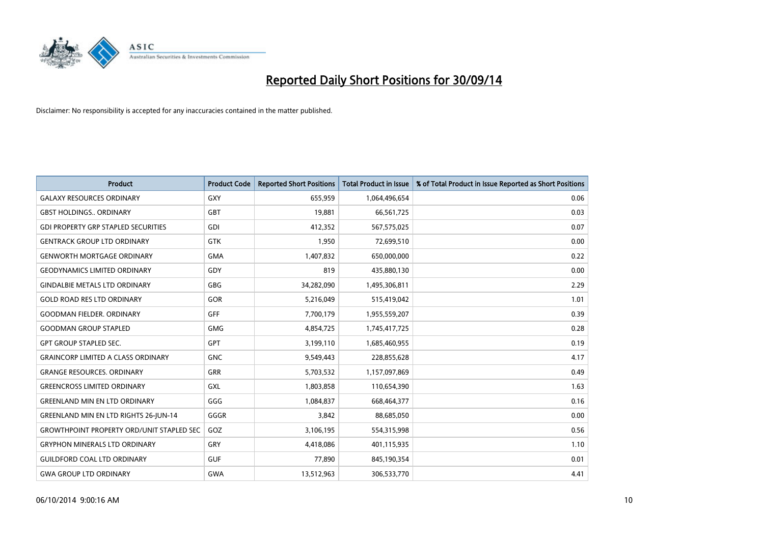

| <b>Product</b>                                   | <b>Product Code</b> | <b>Reported Short Positions</b> | <b>Total Product in Issue</b> | % of Total Product in Issue Reported as Short Positions |
|--------------------------------------------------|---------------------|---------------------------------|-------------------------------|---------------------------------------------------------|
| <b>GALAXY RESOURCES ORDINARY</b>                 | <b>GXY</b>          | 655,959                         | 1,064,496,654                 | 0.06                                                    |
| <b>GBST HOLDINGS ORDINARY</b>                    | <b>GBT</b>          | 19,881                          | 66,561,725                    | 0.03                                                    |
| <b>GDI PROPERTY GRP STAPLED SECURITIES</b>       | <b>GDI</b>          | 412,352                         | 567,575,025                   | 0.07                                                    |
| <b>GENTRACK GROUP LTD ORDINARY</b>               | <b>GTK</b>          | 1,950                           | 72,699,510                    | 0.00                                                    |
| <b>GENWORTH MORTGAGE ORDINARY</b>                | <b>GMA</b>          | 1,407,832                       | 650,000,000                   | 0.22                                                    |
| <b>GEODYNAMICS LIMITED ORDINARY</b>              | GDY                 | 819                             | 435,880,130                   | 0.00                                                    |
| <b>GINDALBIE METALS LTD ORDINARY</b>             | <b>GBG</b>          | 34,282,090                      | 1,495,306,811                 | 2.29                                                    |
| <b>GOLD ROAD RES LTD ORDINARY</b>                | GOR                 | 5,216,049                       | 515,419,042                   | 1.01                                                    |
| <b>GOODMAN FIELDER, ORDINARY</b>                 | <b>GFF</b>          | 7,700,179                       | 1,955,559,207                 | 0.39                                                    |
| <b>GOODMAN GROUP STAPLED</b>                     | <b>GMG</b>          | 4,854,725                       | 1,745,417,725                 | 0.28                                                    |
| <b>GPT GROUP STAPLED SEC.</b>                    | GPT                 | 3,199,110                       | 1,685,460,955                 | 0.19                                                    |
| <b>GRAINCORP LIMITED A CLASS ORDINARY</b>        | <b>GNC</b>          | 9,549,443                       | 228,855,628                   | 4.17                                                    |
| <b>GRANGE RESOURCES. ORDINARY</b>                | GRR                 | 5,703,532                       | 1,157,097,869                 | 0.49                                                    |
| <b>GREENCROSS LIMITED ORDINARY</b>               | GXL                 | 1,803,858                       | 110,654,390                   | 1.63                                                    |
| <b>GREENLAND MIN EN LTD ORDINARY</b>             | GGG                 | 1,084,837                       | 668,464,377                   | 0.16                                                    |
| <b>GREENLAND MIN EN LTD RIGHTS 26-JUN-14</b>     | GGGR                | 3,842                           | 88,685,050                    | 0.00                                                    |
| <b>GROWTHPOINT PROPERTY ORD/UNIT STAPLED SEC</b> | GOZ                 | 3,106,195                       | 554,315,998                   | 0.56                                                    |
| <b>GRYPHON MINERALS LTD ORDINARY</b>             | GRY                 | 4,418,086                       | 401,115,935                   | 1.10                                                    |
| <b>GUILDFORD COAL LTD ORDINARY</b>               | <b>GUF</b>          | 77,890                          | 845,190,354                   | 0.01                                                    |
| <b>GWA GROUP LTD ORDINARY</b>                    | <b>GWA</b>          | 13,512,963                      | 306,533,770                   | 4.41                                                    |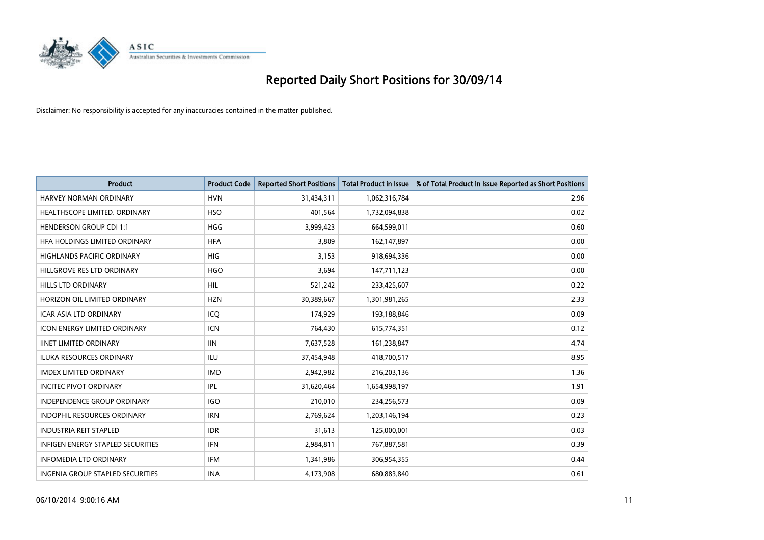

| <b>Product</b>                           | <b>Product Code</b> | <b>Reported Short Positions</b> | <b>Total Product in Issue</b> | % of Total Product in Issue Reported as Short Positions |
|------------------------------------------|---------------------|---------------------------------|-------------------------------|---------------------------------------------------------|
| <b>HARVEY NORMAN ORDINARY</b>            | <b>HVN</b>          | 31,434,311                      | 1,062,316,784                 | 2.96                                                    |
| HEALTHSCOPE LIMITED. ORDINARY            | <b>HSO</b>          | 401,564                         | 1,732,094,838                 | 0.02                                                    |
| <b>HENDERSON GROUP CDI 1:1</b>           | <b>HGG</b>          | 3,999,423                       | 664,599,011                   | 0.60                                                    |
| HFA HOLDINGS LIMITED ORDINARY            | <b>HFA</b>          | 3,809                           | 162,147,897                   | 0.00                                                    |
| <b>HIGHLANDS PACIFIC ORDINARY</b>        | <b>HIG</b>          | 3,153                           | 918,694,336                   | 0.00                                                    |
| HILLGROVE RES LTD ORDINARY               | <b>HGO</b>          | 3,694                           | 147,711,123                   | 0.00                                                    |
| <b>HILLS LTD ORDINARY</b>                | <b>HIL</b>          | 521,242                         | 233,425,607                   | 0.22                                                    |
| HORIZON OIL LIMITED ORDINARY             | <b>HZN</b>          | 30,389,667                      | 1,301,981,265                 | 2.33                                                    |
| ICAR ASIA LTD ORDINARY                   | ICQ                 | 174,929                         | 193,188,846                   | 0.09                                                    |
| <b>ICON ENERGY LIMITED ORDINARY</b>      | ICN                 | 764,430                         | 615,774,351                   | 0.12                                                    |
| <b>IINET LIMITED ORDINARY</b>            | <b>IIN</b>          | 7,637,528                       | 161,238,847                   | 4.74                                                    |
| <b>ILUKA RESOURCES ORDINARY</b>          | <b>ILU</b>          | 37,454,948                      | 418,700,517                   | 8.95                                                    |
| <b>IMDEX LIMITED ORDINARY</b>            | <b>IMD</b>          | 2,942,982                       | 216,203,136                   | 1.36                                                    |
| <b>INCITEC PIVOT ORDINARY</b>            | IPL                 | 31,620,464                      | 1,654,998,197                 | 1.91                                                    |
| INDEPENDENCE GROUP ORDINARY              | <b>IGO</b>          | 210,010                         | 234,256,573                   | 0.09                                                    |
| <b>INDOPHIL RESOURCES ORDINARY</b>       | <b>IRN</b>          | 2,769,624                       | 1,203,146,194                 | 0.23                                                    |
| <b>INDUSTRIA REIT STAPLED</b>            | <b>IDR</b>          | 31,613                          | 125,000,001                   | 0.03                                                    |
| <b>INFIGEN ENERGY STAPLED SECURITIES</b> | <b>IFN</b>          | 2,984,811                       | 767,887,581                   | 0.39                                                    |
| <b>INFOMEDIA LTD ORDINARY</b>            | <b>IFM</b>          | 1,341,986                       | 306,954,355                   | 0.44                                                    |
| INGENIA GROUP STAPLED SECURITIES         | <b>INA</b>          | 4,173,908                       | 680,883,840                   | 0.61                                                    |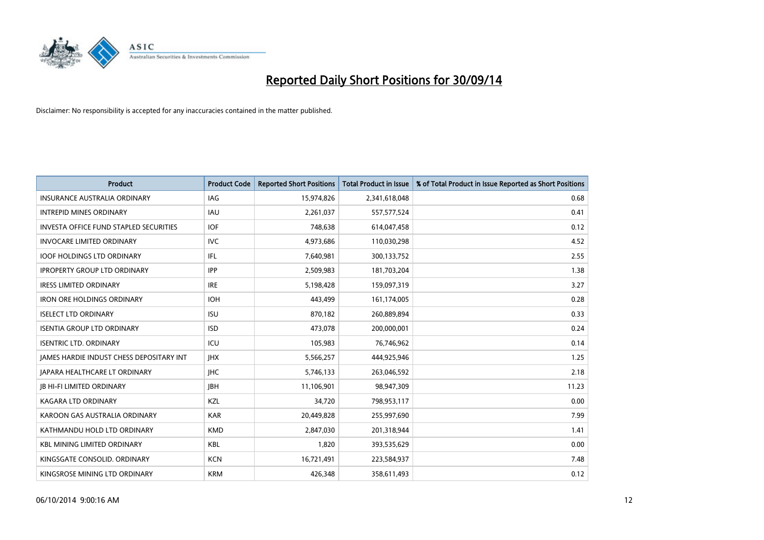

| <b>Product</b>                                | <b>Product Code</b> | <b>Reported Short Positions</b> | <b>Total Product in Issue</b> | % of Total Product in Issue Reported as Short Positions |
|-----------------------------------------------|---------------------|---------------------------------|-------------------------------|---------------------------------------------------------|
| <b>INSURANCE AUSTRALIA ORDINARY</b>           | <b>IAG</b>          | 15,974,826                      | 2,341,618,048                 | 0.68                                                    |
| <b>INTREPID MINES ORDINARY</b>                | <b>IAU</b>          | 2,261,037                       | 557,577,524                   | 0.41                                                    |
| <b>INVESTA OFFICE FUND STAPLED SECURITIES</b> | <b>IOF</b>          | 748,638                         | 614,047,458                   | 0.12                                                    |
| <b>INVOCARE LIMITED ORDINARY</b>              | <b>IVC</b>          | 4,973,686                       | 110,030,298                   | 4.52                                                    |
| <b>IOOF HOLDINGS LTD ORDINARY</b>             | IFL.                | 7,640,981                       | 300,133,752                   | 2.55                                                    |
| <b>IPROPERTY GROUP LTD ORDINARY</b>           | <b>IPP</b>          | 2,509,983                       | 181,703,204                   | 1.38                                                    |
| <b>IRESS LIMITED ORDINARY</b>                 | <b>IRE</b>          | 5,198,428                       | 159,097,319                   | 3.27                                                    |
| <b>IRON ORE HOLDINGS ORDINARY</b>             | <b>IOH</b>          | 443,499                         | 161,174,005                   | 0.28                                                    |
| <b>ISELECT LTD ORDINARY</b>                   | <b>ISU</b>          | 870,182                         | 260,889,894                   | 0.33                                                    |
| <b>ISENTIA GROUP LTD ORDINARY</b>             | <b>ISD</b>          | 473,078                         | 200,000,001                   | 0.24                                                    |
| <b>ISENTRIC LTD. ORDINARY</b>                 | ICU                 | 105,983                         | 76,746,962                    | 0.14                                                    |
| JAMES HARDIE INDUST CHESS DEPOSITARY INT      | <b>IHX</b>          | 5,566,257                       | 444,925,946                   | 1.25                                                    |
| <b>JAPARA HEALTHCARE LT ORDINARY</b>          | <b>IHC</b>          | 5,746,133                       | 263,046,592                   | 2.18                                                    |
| <b>JB HI-FI LIMITED ORDINARY</b>              | <b>IBH</b>          | 11,106,901                      | 98,947,309                    | 11.23                                                   |
| <b>KAGARA LTD ORDINARY</b>                    | KZL                 | 34,720                          | 798,953,117                   | 0.00                                                    |
| KAROON GAS AUSTRALIA ORDINARY                 | <b>KAR</b>          | 20,449,828                      | 255,997,690                   | 7.99                                                    |
| KATHMANDU HOLD LTD ORDINARY                   | <b>KMD</b>          | 2,847,030                       | 201,318,944                   | 1.41                                                    |
| <b>KBL MINING LIMITED ORDINARY</b>            | <b>KBL</b>          | 1,820                           | 393,535,629                   | 0.00                                                    |
| KINGSGATE CONSOLID. ORDINARY                  | <b>KCN</b>          | 16,721,491                      | 223,584,937                   | 7.48                                                    |
| KINGSROSE MINING LTD ORDINARY                 | <b>KRM</b>          | 426,348                         | 358,611,493                   | 0.12                                                    |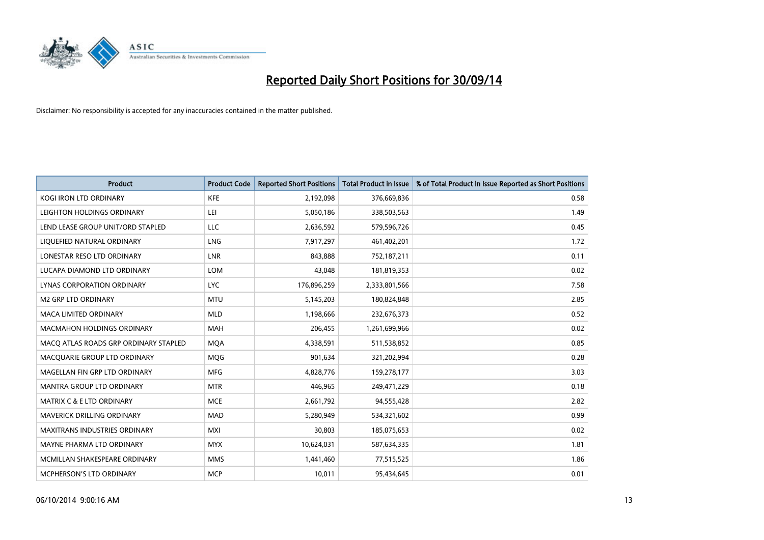

| <b>Product</b>                        | <b>Product Code</b> | <b>Reported Short Positions</b> | <b>Total Product in Issue</b> | % of Total Product in Issue Reported as Short Positions |
|---------------------------------------|---------------------|---------------------------------|-------------------------------|---------------------------------------------------------|
| <b>KOGI IRON LTD ORDINARY</b>         | <b>KFE</b>          | 2,192,098                       | 376,669,836                   | 0.58                                                    |
| LEIGHTON HOLDINGS ORDINARY            | LEI                 | 5,050,186                       | 338,503,563                   | 1.49                                                    |
| LEND LEASE GROUP UNIT/ORD STAPLED     | <b>LLC</b>          | 2,636,592                       | 579,596,726                   | 0.45                                                    |
| LIQUEFIED NATURAL ORDINARY            | <b>LNG</b>          | 7,917,297                       | 461,402,201                   | 1.72                                                    |
| LONESTAR RESO LTD ORDINARY            | <b>LNR</b>          | 843,888                         | 752,187,211                   | 0.11                                                    |
| LUCAPA DIAMOND LTD ORDINARY           | <b>LOM</b>          | 43,048                          | 181,819,353                   | 0.02                                                    |
| LYNAS CORPORATION ORDINARY            | <b>LYC</b>          | 176,896,259                     | 2,333,801,566                 | 7.58                                                    |
| <b>M2 GRP LTD ORDINARY</b>            | <b>MTU</b>          | 5,145,203                       | 180,824,848                   | 2.85                                                    |
| <b>MACA LIMITED ORDINARY</b>          | <b>MLD</b>          | 1,198,666                       | 232,676,373                   | 0.52                                                    |
| <b>MACMAHON HOLDINGS ORDINARY</b>     | <b>MAH</b>          | 206,455                         | 1,261,699,966                 | 0.02                                                    |
| MACO ATLAS ROADS GRP ORDINARY STAPLED | <b>MOA</b>          | 4,338,591                       | 511,538,852                   | 0.85                                                    |
| MACQUARIE GROUP LTD ORDINARY          | MQG                 | 901,634                         | 321,202,994                   | 0.28                                                    |
| MAGELLAN FIN GRP LTD ORDINARY         | <b>MFG</b>          | 4,828,776                       | 159,278,177                   | 3.03                                                    |
| <b>MANTRA GROUP LTD ORDINARY</b>      | <b>MTR</b>          | 446,965                         | 249,471,229                   | 0.18                                                    |
| <b>MATRIX C &amp; E LTD ORDINARY</b>  | <b>MCE</b>          | 2,661,792                       | 94,555,428                    | 2.82                                                    |
| MAVERICK DRILLING ORDINARY            | <b>MAD</b>          | 5,280,949                       | 534,321,602                   | 0.99                                                    |
| MAXITRANS INDUSTRIES ORDINARY         | <b>MXI</b>          | 30,803                          | 185,075,653                   | 0.02                                                    |
| MAYNE PHARMA LTD ORDINARY             | <b>MYX</b>          | 10,624,031                      | 587,634,335                   | 1.81                                                    |
| MCMILLAN SHAKESPEARE ORDINARY         | <b>MMS</b>          | 1,441,460                       | 77,515,525                    | 1.86                                                    |
| MCPHERSON'S LTD ORDINARY              | <b>MCP</b>          | 10,011                          | 95,434,645                    | 0.01                                                    |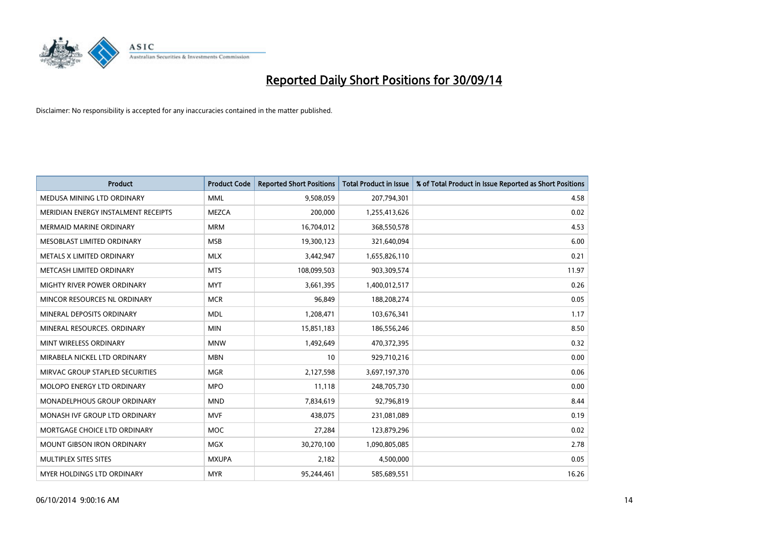

| <b>Product</b>                      | <b>Product Code</b> | <b>Reported Short Positions</b> | <b>Total Product in Issue</b> | % of Total Product in Issue Reported as Short Positions |
|-------------------------------------|---------------------|---------------------------------|-------------------------------|---------------------------------------------------------|
| MEDUSA MINING LTD ORDINARY          | <b>MML</b>          | 9,508,059                       | 207,794,301                   | 4.58                                                    |
| MERIDIAN ENERGY INSTALMENT RECEIPTS | <b>MEZCA</b>        | 200,000                         | 1,255,413,626                 | 0.02                                                    |
| <b>MERMAID MARINE ORDINARY</b>      | <b>MRM</b>          | 16,704,012                      | 368,550,578                   | 4.53                                                    |
| MESOBLAST LIMITED ORDINARY          | <b>MSB</b>          | 19,300,123                      | 321,640,094                   | 6.00                                                    |
| METALS X LIMITED ORDINARY           | <b>MLX</b>          | 3,442,947                       | 1,655,826,110                 | 0.21                                                    |
| METCASH LIMITED ORDINARY            | <b>MTS</b>          | 108,099,503                     | 903,309,574                   | 11.97                                                   |
| <b>MIGHTY RIVER POWER ORDINARY</b>  | <b>MYT</b>          | 3,661,395                       | 1,400,012,517                 | 0.26                                                    |
| MINCOR RESOURCES NL ORDINARY        | <b>MCR</b>          | 96,849                          | 188,208,274                   | 0.05                                                    |
| MINERAL DEPOSITS ORDINARY           | <b>MDL</b>          | 1,208,471                       | 103,676,341                   | 1.17                                                    |
| MINERAL RESOURCES, ORDINARY         | <b>MIN</b>          | 15,851,183                      | 186,556,246                   | 8.50                                                    |
| MINT WIRELESS ORDINARY              | <b>MNW</b>          | 1,492,649                       | 470,372,395                   | 0.32                                                    |
| MIRABELA NICKEL LTD ORDINARY        | <b>MBN</b>          | 10                              | 929,710,216                   | 0.00                                                    |
| MIRVAC GROUP STAPLED SECURITIES     | <b>MGR</b>          | 2,127,598                       | 3,697,197,370                 | 0.06                                                    |
| MOLOPO ENERGY LTD ORDINARY          | <b>MPO</b>          | 11,118                          | 248,705,730                   | 0.00                                                    |
| MONADELPHOUS GROUP ORDINARY         | <b>MND</b>          | 7,834,619                       | 92,796,819                    | 8.44                                                    |
| MONASH IVF GROUP LTD ORDINARY       | <b>MVF</b>          | 438,075                         | 231,081,089                   | 0.19                                                    |
| MORTGAGE CHOICE LTD ORDINARY        | <b>MOC</b>          | 27,284                          | 123,879,296                   | 0.02                                                    |
| <b>MOUNT GIBSON IRON ORDINARY</b>   | <b>MGX</b>          | 30,270,100                      | 1,090,805,085                 | 2.78                                                    |
| MULTIPLEX SITES SITES               | <b>MXUPA</b>        | 2,182                           | 4,500,000                     | 0.05                                                    |
| MYER HOLDINGS LTD ORDINARY          | <b>MYR</b>          | 95,244,461                      | 585,689,551                   | 16.26                                                   |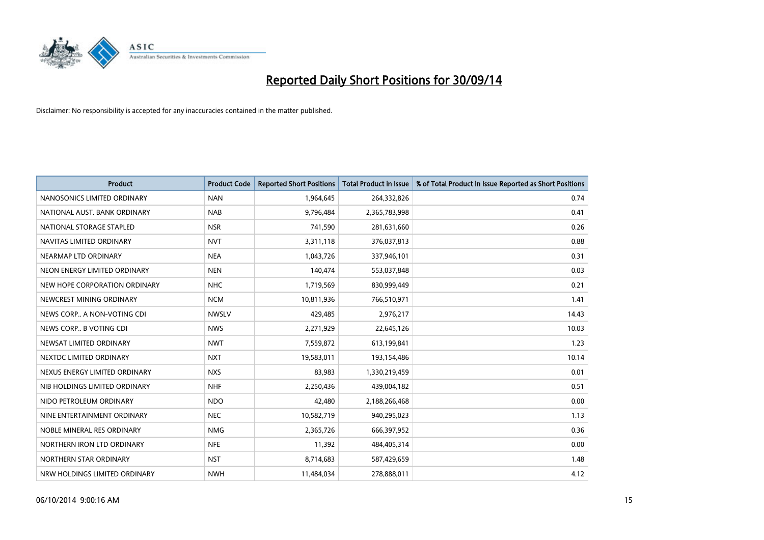

| <b>Product</b>                | <b>Product Code</b> | <b>Reported Short Positions</b> | <b>Total Product in Issue</b> | % of Total Product in Issue Reported as Short Positions |
|-------------------------------|---------------------|---------------------------------|-------------------------------|---------------------------------------------------------|
| NANOSONICS LIMITED ORDINARY   | <b>NAN</b>          | 1,964,645                       | 264,332,826                   | 0.74                                                    |
| NATIONAL AUST. BANK ORDINARY  | <b>NAB</b>          | 9,796,484                       | 2,365,783,998                 | 0.41                                                    |
| NATIONAL STORAGE STAPLED      | <b>NSR</b>          | 741,590                         | 281,631,660                   | 0.26                                                    |
| NAVITAS LIMITED ORDINARY      | <b>NVT</b>          | 3,311,118                       | 376,037,813                   | 0.88                                                    |
| NEARMAP LTD ORDINARY          | <b>NEA</b>          | 1,043,726                       | 337,946,101                   | 0.31                                                    |
| NEON ENERGY LIMITED ORDINARY  | <b>NEN</b>          | 140,474                         | 553,037,848                   | 0.03                                                    |
| NEW HOPE CORPORATION ORDINARY | <b>NHC</b>          | 1,719,569                       | 830,999,449                   | 0.21                                                    |
| NEWCREST MINING ORDINARY      | <b>NCM</b>          | 10,811,936                      | 766,510,971                   | 1.41                                                    |
| NEWS CORP A NON-VOTING CDI    | <b>NWSLV</b>        | 429,485                         | 2,976,217                     | 14.43                                                   |
| NEWS CORP B VOTING CDI        | <b>NWS</b>          | 2,271,929                       | 22,645,126                    | 10.03                                                   |
| NEWSAT LIMITED ORDINARY       | <b>NWT</b>          | 7,559,872                       | 613,199,841                   | 1.23                                                    |
| NEXTDC LIMITED ORDINARY       | <b>NXT</b>          | 19,583,011                      | 193,154,486                   | 10.14                                                   |
| NEXUS ENERGY LIMITED ORDINARY | <b>NXS</b>          | 83,983                          | 1,330,219,459                 | 0.01                                                    |
| NIB HOLDINGS LIMITED ORDINARY | <b>NHF</b>          | 2,250,436                       | 439,004,182                   | 0.51                                                    |
| NIDO PETROLEUM ORDINARY       | <b>NDO</b>          | 42,480                          | 2,188,266,468                 | 0.00                                                    |
| NINE ENTERTAINMENT ORDINARY   | <b>NEC</b>          | 10,582,719                      | 940,295,023                   | 1.13                                                    |
| NOBLE MINERAL RES ORDINARY    | <b>NMG</b>          | 2,365,726                       | 666,397,952                   | 0.36                                                    |
| NORTHERN IRON LTD ORDINARY    | <b>NFE</b>          | 11,392                          | 484,405,314                   | 0.00                                                    |
| NORTHERN STAR ORDINARY        | <b>NST</b>          | 8,714,683                       | 587,429,659                   | 1.48                                                    |
| NRW HOLDINGS LIMITED ORDINARY | <b>NWH</b>          | 11,484,034                      | 278,888,011                   | 4.12                                                    |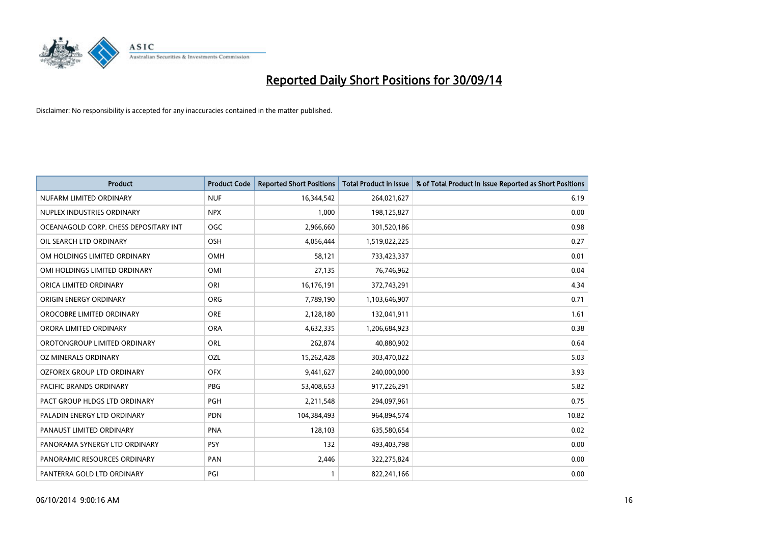

| <b>Product</b>                        | <b>Product Code</b> | <b>Reported Short Positions</b> | <b>Total Product in Issue</b> | % of Total Product in Issue Reported as Short Positions |
|---------------------------------------|---------------------|---------------------------------|-------------------------------|---------------------------------------------------------|
| NUFARM LIMITED ORDINARY               | <b>NUF</b>          | 16,344,542                      | 264,021,627                   | 6.19                                                    |
| NUPLEX INDUSTRIES ORDINARY            | <b>NPX</b>          | 1,000                           | 198,125,827                   | 0.00                                                    |
| OCEANAGOLD CORP. CHESS DEPOSITARY INT | <b>OGC</b>          | 2,966,660                       | 301,520,186                   | 0.98                                                    |
| OIL SEARCH LTD ORDINARY               | OSH                 | 4,056,444                       | 1,519,022,225                 | 0.27                                                    |
| OM HOLDINGS LIMITED ORDINARY          | <b>OMH</b>          | 58,121                          | 733,423,337                   | 0.01                                                    |
| OMI HOLDINGS LIMITED ORDINARY         | OMI                 | 27,135                          | 76,746,962                    | 0.04                                                    |
| ORICA LIMITED ORDINARY                | ORI                 | 16,176,191                      | 372,743,291                   | 4.34                                                    |
| ORIGIN ENERGY ORDINARY                | ORG                 | 7,789,190                       | 1,103,646,907                 | 0.71                                                    |
| OROCOBRE LIMITED ORDINARY             | <b>ORE</b>          | 2,128,180                       | 132,041,911                   | 1.61                                                    |
| ORORA LIMITED ORDINARY                | <b>ORA</b>          | 4,632,335                       | 1,206,684,923                 | 0.38                                                    |
| OROTONGROUP LIMITED ORDINARY          | ORL                 | 262,874                         | 40,880,902                    | 0.64                                                    |
| OZ MINERALS ORDINARY                  | OZL                 | 15,262,428                      | 303,470,022                   | 5.03                                                    |
| OZFOREX GROUP LTD ORDINARY            | <b>OFX</b>          | 9,441,627                       | 240,000,000                   | 3.93                                                    |
| <b>PACIFIC BRANDS ORDINARY</b>        | <b>PBG</b>          | 53,408,653                      | 917,226,291                   | 5.82                                                    |
| PACT GROUP HLDGS LTD ORDINARY         | PGH                 | 2,211,548                       | 294,097,961                   | 0.75                                                    |
| PALADIN ENERGY LTD ORDINARY           | <b>PDN</b>          | 104,384,493                     | 964,894,574                   | 10.82                                                   |
| PANAUST LIMITED ORDINARY              | <b>PNA</b>          | 128,103                         | 635,580,654                   | 0.02                                                    |
| PANORAMA SYNERGY LTD ORDINARY         | <b>PSY</b>          | 132                             | 493,403,798                   | 0.00                                                    |
| PANORAMIC RESOURCES ORDINARY          | PAN                 | 2,446                           | 322,275,824                   | 0.00                                                    |
| PANTERRA GOLD LTD ORDINARY            | PGI                 |                                 | 822,241,166                   | 0.00                                                    |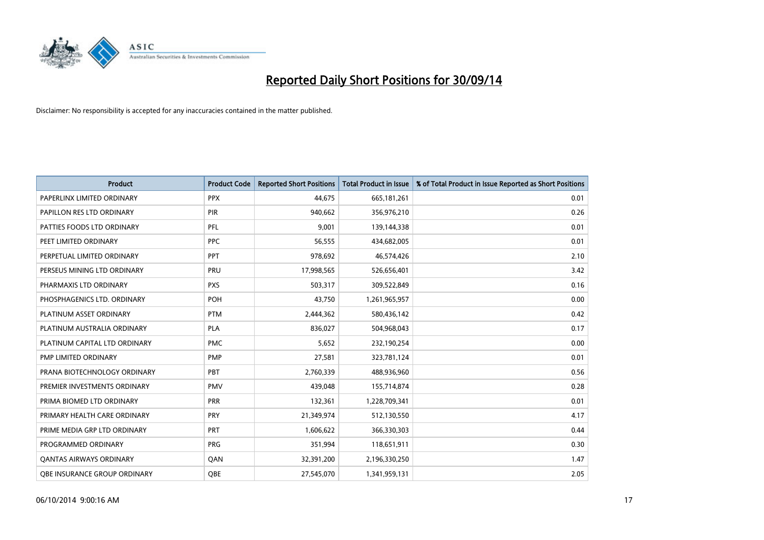

| <b>Product</b>                 | <b>Product Code</b> | <b>Reported Short Positions</b> | <b>Total Product in Issue</b> | % of Total Product in Issue Reported as Short Positions |
|--------------------------------|---------------------|---------------------------------|-------------------------------|---------------------------------------------------------|
| PAPERLINX LIMITED ORDINARY     | <b>PPX</b>          | 44,675                          | 665, 181, 261                 | 0.01                                                    |
| PAPILLON RES LTD ORDINARY      | <b>PIR</b>          | 940,662                         | 356,976,210                   | 0.26                                                    |
| PATTIES FOODS LTD ORDINARY     | <b>PFL</b>          | 9,001                           | 139,144,338                   | 0.01                                                    |
| PEET LIMITED ORDINARY          | <b>PPC</b>          | 56,555                          | 434,682,005                   | 0.01                                                    |
| PERPETUAL LIMITED ORDINARY     | <b>PPT</b>          | 978,692                         | 46,574,426                    | 2.10                                                    |
| PERSEUS MINING LTD ORDINARY    | PRU                 | 17,998,565                      | 526,656,401                   | 3.42                                                    |
| PHARMAXIS LTD ORDINARY         | <b>PXS</b>          | 503,317                         | 309,522,849                   | 0.16                                                    |
| PHOSPHAGENICS LTD. ORDINARY    | POH                 | 43,750                          | 1,261,965,957                 | 0.00                                                    |
| PLATINUM ASSET ORDINARY        | <b>PTM</b>          | 2,444,362                       | 580,436,142                   | 0.42                                                    |
| PLATINUM AUSTRALIA ORDINARY    | <b>PLA</b>          | 836,027                         | 504,968,043                   | 0.17                                                    |
| PLATINUM CAPITAL LTD ORDINARY  | <b>PMC</b>          | 5,652                           | 232,190,254                   | 0.00                                                    |
| PMP LIMITED ORDINARY           | <b>PMP</b>          | 27,581                          | 323,781,124                   | 0.01                                                    |
| PRANA BIOTECHNOLOGY ORDINARY   | PBT                 | 2,760,339                       | 488,936,960                   | 0.56                                                    |
| PREMIER INVESTMENTS ORDINARY   | <b>PMV</b>          | 439,048                         | 155,714,874                   | 0.28                                                    |
| PRIMA BIOMED LTD ORDINARY      | <b>PRR</b>          | 132,361                         | 1,228,709,341                 | 0.01                                                    |
| PRIMARY HEALTH CARE ORDINARY   | PRY                 | 21,349,974                      | 512,130,550                   | 4.17                                                    |
| PRIME MEDIA GRP LTD ORDINARY   | <b>PRT</b>          | 1,606,622                       | 366,330,303                   | 0.44                                                    |
| PROGRAMMED ORDINARY            | <b>PRG</b>          | 351,994                         | 118,651,911                   | 0.30                                                    |
| <b>QANTAS AIRWAYS ORDINARY</b> | QAN                 | 32,391,200                      | 2,196,330,250                 | 1.47                                                    |
| OBE INSURANCE GROUP ORDINARY   | QBE                 | 27,545,070                      | 1,341,959,131                 | 2.05                                                    |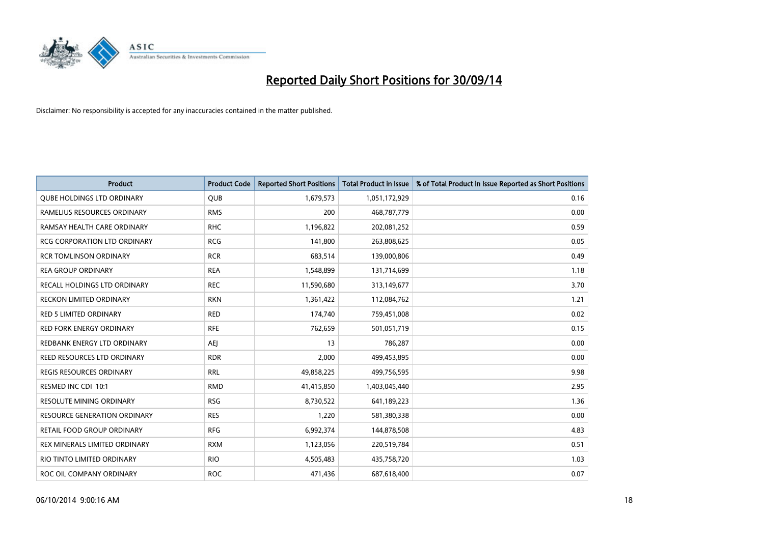

| <b>Product</b>                      | <b>Product Code</b> | <b>Reported Short Positions</b> | <b>Total Product in Issue</b> | % of Total Product in Issue Reported as Short Positions |
|-------------------------------------|---------------------|---------------------------------|-------------------------------|---------------------------------------------------------|
| <b>QUBE HOLDINGS LTD ORDINARY</b>   | <b>QUB</b>          | 1,679,573                       | 1,051,172,929                 | 0.16                                                    |
| RAMELIUS RESOURCES ORDINARY         | <b>RMS</b>          | 200                             | 468,787,779                   | 0.00                                                    |
| RAMSAY HEALTH CARE ORDINARY         | <b>RHC</b>          | 1,196,822                       | 202,081,252                   | 0.59                                                    |
| <b>RCG CORPORATION LTD ORDINARY</b> | <b>RCG</b>          | 141,800                         | 263,808,625                   | 0.05                                                    |
| <b>RCR TOMLINSON ORDINARY</b>       | <b>RCR</b>          | 683,514                         | 139,000,806                   | 0.49                                                    |
| <b>REA GROUP ORDINARY</b>           | <b>REA</b>          | 1,548,899                       | 131,714,699                   | 1.18                                                    |
| RECALL HOLDINGS LTD ORDINARY        | <b>REC</b>          | 11,590,680                      | 313,149,677                   | 3.70                                                    |
| <b>RECKON LIMITED ORDINARY</b>      | <b>RKN</b>          | 1,361,422                       | 112,084,762                   | 1.21                                                    |
| RED 5 LIMITED ORDINARY              | <b>RED</b>          | 174,740                         | 759,451,008                   | 0.02                                                    |
| <b>RED FORK ENERGY ORDINARY</b>     | <b>RFE</b>          | 762,659                         | 501,051,719                   | 0.15                                                    |
| REDBANK ENERGY LTD ORDINARY         | <b>AEI</b>          | 13                              | 786,287                       | 0.00                                                    |
| REED RESOURCES LTD ORDINARY         | <b>RDR</b>          | 2,000                           | 499,453,895                   | 0.00                                                    |
| REGIS RESOURCES ORDINARY            | <b>RRL</b>          | 49,858,225                      | 499,756,595                   | 9.98                                                    |
| RESMED INC CDI 10:1                 | <b>RMD</b>          | 41,415,850                      | 1,403,045,440                 | 2.95                                                    |
| RESOLUTE MINING ORDINARY            | <b>RSG</b>          | 8,730,522                       | 641,189,223                   | 1.36                                                    |
| <b>RESOURCE GENERATION ORDINARY</b> | <b>RES</b>          | 1,220                           | 581,380,338                   | 0.00                                                    |
| RETAIL FOOD GROUP ORDINARY          | <b>RFG</b>          | 6,992,374                       | 144,878,508                   | 4.83                                                    |
| REX MINERALS LIMITED ORDINARY       | <b>RXM</b>          | 1,123,056                       | 220,519,784                   | 0.51                                                    |
| RIO TINTO LIMITED ORDINARY          | <b>RIO</b>          | 4,505,483                       | 435,758,720                   | 1.03                                                    |
| ROC OIL COMPANY ORDINARY            | <b>ROC</b>          | 471,436                         | 687,618,400                   | 0.07                                                    |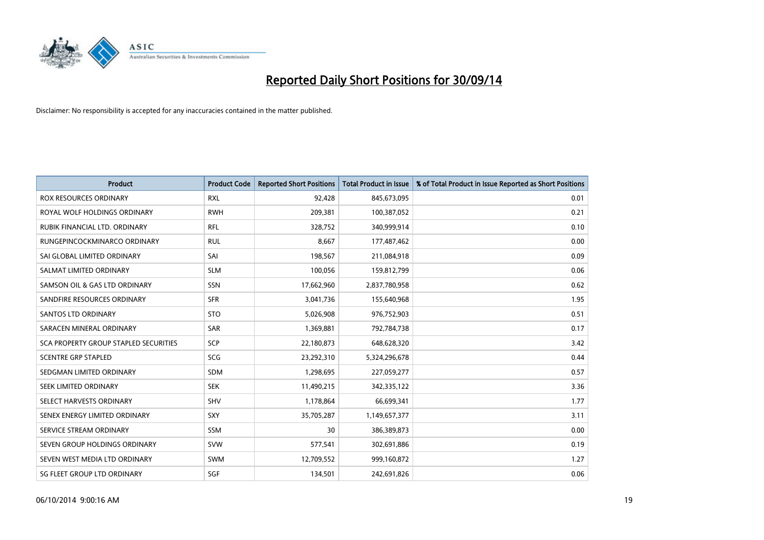

| <b>Product</b>                        | <b>Product Code</b> | <b>Reported Short Positions</b> | <b>Total Product in Issue</b> | % of Total Product in Issue Reported as Short Positions |
|---------------------------------------|---------------------|---------------------------------|-------------------------------|---------------------------------------------------------|
| <b>ROX RESOURCES ORDINARY</b>         | <b>RXL</b>          | 92,428                          | 845,673,095                   | 0.01                                                    |
| ROYAL WOLF HOLDINGS ORDINARY          | <b>RWH</b>          | 209,381                         | 100,387,052                   | 0.21                                                    |
| RUBIK FINANCIAL LTD. ORDINARY         | RFL                 | 328,752                         | 340,999,914                   | 0.10                                                    |
| RUNGEPINCOCKMINARCO ORDINARY          | <b>RUL</b>          | 8,667                           | 177,487,462                   | 0.00                                                    |
| SAI GLOBAL LIMITED ORDINARY           | SAI                 | 198,567                         | 211,084,918                   | 0.09                                                    |
| SALMAT LIMITED ORDINARY               | <b>SLM</b>          | 100,056                         | 159,812,799                   | 0.06                                                    |
| SAMSON OIL & GAS LTD ORDINARY         | SSN                 | 17,662,960                      | 2,837,780,958                 | 0.62                                                    |
| SANDFIRE RESOURCES ORDINARY           | <b>SFR</b>          | 3,041,736                       | 155,640,968                   | 1.95                                                    |
| <b>SANTOS LTD ORDINARY</b>            | <b>STO</b>          | 5,026,908                       | 976,752,903                   | 0.51                                                    |
| SARACEN MINERAL ORDINARY              | SAR                 | 1,369,881                       | 792,784,738                   | 0.17                                                    |
| SCA PROPERTY GROUP STAPLED SECURITIES | <b>SCP</b>          | 22,180,873                      | 648,628,320                   | 3.42                                                    |
| <b>SCENTRE GRP STAPLED</b>            | <b>SCG</b>          | 23,292,310                      | 5,324,296,678                 | 0.44                                                    |
| SEDGMAN LIMITED ORDINARY              | SDM                 | 1,298,695                       | 227,059,277                   | 0.57                                                    |
| SEEK LIMITED ORDINARY                 | <b>SEK</b>          | 11,490,215                      | 342,335,122                   | 3.36                                                    |
| SELECT HARVESTS ORDINARY              | <b>SHV</b>          | 1,178,864                       | 66,699,341                    | 1.77                                                    |
| SENEX ENERGY LIMITED ORDINARY         | <b>SXY</b>          | 35,705,287                      | 1,149,657,377                 | 3.11                                                    |
| SERVICE STREAM ORDINARY               | <b>SSM</b>          | 30                              | 386,389,873                   | 0.00                                                    |
| SEVEN GROUP HOLDINGS ORDINARY         | <b>SVW</b>          | 577,541                         | 302,691,886                   | 0.19                                                    |
| SEVEN WEST MEDIA LTD ORDINARY         | <b>SWM</b>          | 12,709,552                      | 999,160,872                   | 1.27                                                    |
| SG FLEET GROUP LTD ORDINARY           | SGF                 | 134,501                         | 242,691,826                   | 0.06                                                    |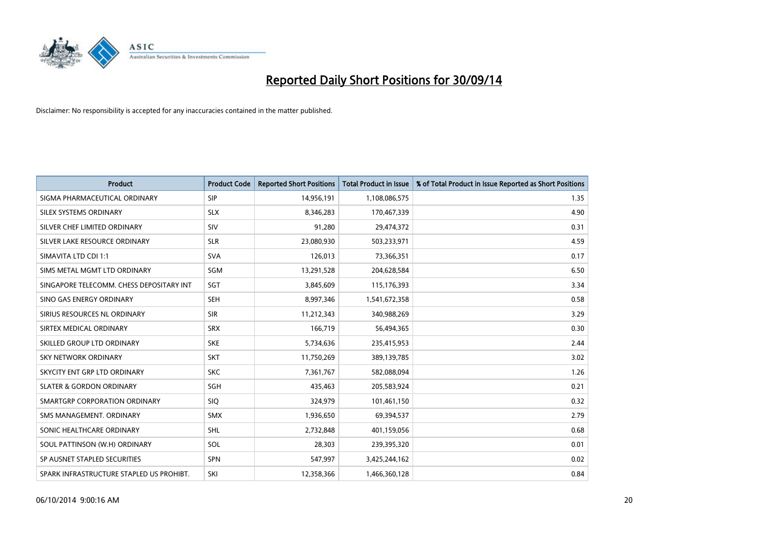

| <b>Product</b>                           | <b>Product Code</b> | <b>Reported Short Positions</b> | <b>Total Product in Issue</b> | % of Total Product in Issue Reported as Short Positions |
|------------------------------------------|---------------------|---------------------------------|-------------------------------|---------------------------------------------------------|
| SIGMA PHARMACEUTICAL ORDINARY            | <b>SIP</b>          | 14,956,191                      | 1,108,086,575                 | 1.35                                                    |
| SILEX SYSTEMS ORDINARY                   | <b>SLX</b>          | 8,346,283                       | 170,467,339                   | 4.90                                                    |
| SILVER CHEF LIMITED ORDINARY             | SIV                 | 91,280                          | 29,474,372                    | 0.31                                                    |
| SILVER LAKE RESOURCE ORDINARY            | <b>SLR</b>          | 23,080,930                      | 503,233,971                   | 4.59                                                    |
| SIMAVITA LTD CDI 1:1                     | <b>SVA</b>          | 126,013                         | 73,366,351                    | 0.17                                                    |
| SIMS METAL MGMT LTD ORDINARY             | SGM                 | 13,291,528                      | 204,628,584                   | 6.50                                                    |
| SINGAPORE TELECOMM. CHESS DEPOSITARY INT | SGT                 | 3,845,609                       | 115,176,393                   | 3.34                                                    |
| SINO GAS ENERGY ORDINARY                 | <b>SEH</b>          | 8,997,346                       | 1,541,672,358                 | 0.58                                                    |
| SIRIUS RESOURCES NL ORDINARY             | <b>SIR</b>          | 11,212,343                      | 340,988,269                   | 3.29                                                    |
| SIRTEX MEDICAL ORDINARY                  | <b>SRX</b>          | 166,719                         | 56,494,365                    | 0.30                                                    |
| SKILLED GROUP LTD ORDINARY               | <b>SKE</b>          | 5,734,636                       | 235,415,953                   | 2.44                                                    |
| <b>SKY NETWORK ORDINARY</b>              | <b>SKT</b>          | 11,750,269                      | 389,139,785                   | 3.02                                                    |
| SKYCITY ENT GRP LTD ORDINARY             | <b>SKC</b>          | 7,361,767                       | 582,088,094                   | 1.26                                                    |
| <b>SLATER &amp; GORDON ORDINARY</b>      | <b>SGH</b>          | 435,463                         | 205,583,924                   | 0.21                                                    |
| SMARTGRP CORPORATION ORDINARY            | <b>SIQ</b>          | 324,979                         | 101,461,150                   | 0.32                                                    |
| SMS MANAGEMENT, ORDINARY                 | <b>SMX</b>          | 1,936,650                       | 69,394,537                    | 2.79                                                    |
| SONIC HEALTHCARE ORDINARY                | <b>SHL</b>          | 2,732,848                       | 401,159,056                   | 0.68                                                    |
| SOUL PATTINSON (W.H) ORDINARY            | SOL                 | 28,303                          | 239,395,320                   | 0.01                                                    |
| SP AUSNET STAPLED SECURITIES             | <b>SPN</b>          | 547,997                         | 3,425,244,162                 | 0.02                                                    |
| SPARK INFRASTRUCTURE STAPLED US PROHIBT. | SKI                 | 12,358,366                      | 1,466,360,128                 | 0.84                                                    |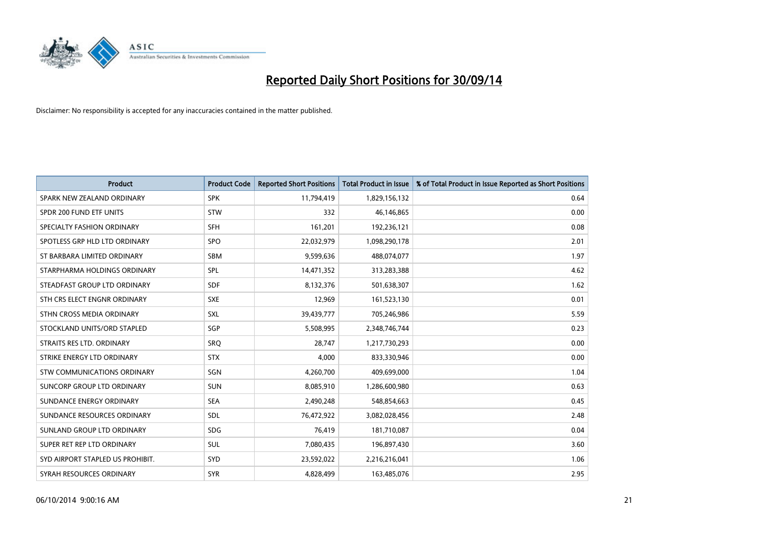

| <b>Product</b>                   | <b>Product Code</b> | <b>Reported Short Positions</b> | <b>Total Product in Issue</b> | % of Total Product in Issue Reported as Short Positions |
|----------------------------------|---------------------|---------------------------------|-------------------------------|---------------------------------------------------------|
| SPARK NEW ZEALAND ORDINARY       | <b>SPK</b>          | 11,794,419                      | 1,829,156,132                 | 0.64                                                    |
| SPDR 200 FUND ETF UNITS          | STW                 | 332                             | 46,146,865                    | 0.00                                                    |
| SPECIALTY FASHION ORDINARY       | SFH                 | 161,201                         | 192,236,121                   | 0.08                                                    |
| SPOTLESS GRP HLD LTD ORDINARY    | <b>SPO</b>          | 22,032,979                      | 1,098,290,178                 | 2.01                                                    |
| ST BARBARA LIMITED ORDINARY      | <b>SBM</b>          | 9,599,636                       | 488,074,077                   | 1.97                                                    |
| STARPHARMA HOLDINGS ORDINARY     | <b>SPL</b>          | 14,471,352                      | 313,283,388                   | 4.62                                                    |
| STEADFAST GROUP LTD ORDINARY     | <b>SDF</b>          | 8,132,376                       | 501,638,307                   | 1.62                                                    |
| STH CRS ELECT ENGNR ORDINARY     | <b>SXE</b>          | 12,969                          | 161,523,130                   | 0.01                                                    |
| STHN CROSS MEDIA ORDINARY        | <b>SXL</b>          | 39,439,777                      | 705,246,986                   | 5.59                                                    |
| STOCKLAND UNITS/ORD STAPLED      | SGP                 | 5,508,995                       | 2,348,746,744                 | 0.23                                                    |
| STRAITS RES LTD. ORDINARY        | SRQ                 | 28,747                          | 1,217,730,293                 | 0.00                                                    |
| STRIKE ENERGY LTD ORDINARY       | <b>STX</b>          | 4,000                           | 833,330,946                   | 0.00                                                    |
| STW COMMUNICATIONS ORDINARY      | SGN                 | 4,260,700                       | 409,699,000                   | 1.04                                                    |
| SUNCORP GROUP LTD ORDINARY       | <b>SUN</b>          | 8,085,910                       | 1,286,600,980                 | 0.63                                                    |
| SUNDANCE ENERGY ORDINARY         | <b>SEA</b>          | 2,490,248                       | 548,854,663                   | 0.45                                                    |
| SUNDANCE RESOURCES ORDINARY      | SDL                 | 76,472,922                      | 3,082,028,456                 | 2.48                                                    |
| SUNLAND GROUP LTD ORDINARY       | <b>SDG</b>          | 76,419                          | 181,710,087                   | 0.04                                                    |
| SUPER RET REP LTD ORDINARY       | <b>SUL</b>          | 7,080,435                       | 196,897,430                   | 3.60                                                    |
| SYD AIRPORT STAPLED US PROHIBIT. | SYD                 | 23,592,022                      | 2,216,216,041                 | 1.06                                                    |
| SYRAH RESOURCES ORDINARY         | <b>SYR</b>          | 4,828,499                       | 163,485,076                   | 2.95                                                    |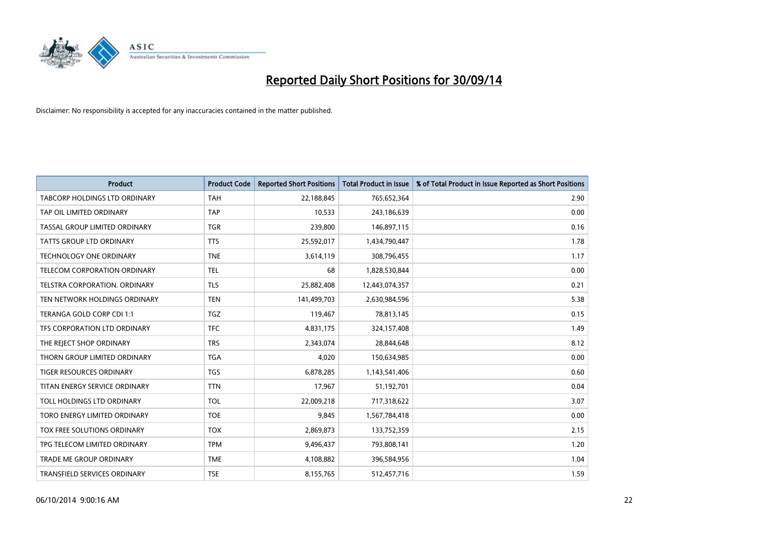

| <b>Product</b>                 | <b>Product Code</b> | <b>Reported Short Positions</b> | <b>Total Product in Issue</b> | % of Total Product in Issue Reported as Short Positions |
|--------------------------------|---------------------|---------------------------------|-------------------------------|---------------------------------------------------------|
| TABCORP HOLDINGS LTD ORDINARY  | <b>TAH</b>          | 22,188,845                      | 765,652,364                   | 2.90                                                    |
| TAP OIL LIMITED ORDINARY       | <b>TAP</b>          | 10,533                          | 243,186,639                   | 0.00                                                    |
| TASSAL GROUP LIMITED ORDINARY  | <b>TGR</b>          | 239,800                         | 146,897,115                   | 0.16                                                    |
| TATTS GROUP LTD ORDINARY       | <b>TTS</b>          | 25,592,017                      | 1,434,790,447                 | 1.78                                                    |
| <b>TECHNOLOGY ONE ORDINARY</b> | <b>TNE</b>          | 3,614,119                       | 308,796,455                   | 1.17                                                    |
| TELECOM CORPORATION ORDINARY   | <b>TEL</b>          | 68                              | 1,828,530,844                 | 0.00                                                    |
| TELSTRA CORPORATION, ORDINARY  | <b>TLS</b>          | 25,882,408                      | 12,443,074,357                | 0.21                                                    |
| TEN NETWORK HOLDINGS ORDINARY  | <b>TEN</b>          | 141,499,703                     | 2,630,984,596                 | 5.38                                                    |
| TERANGA GOLD CORP CDI 1:1      | <b>TGZ</b>          | 119,467                         | 78,813,145                    | 0.15                                                    |
| TFS CORPORATION LTD ORDINARY   | <b>TFC</b>          | 4,831,175                       | 324,157,408                   | 1.49                                                    |
| THE REJECT SHOP ORDINARY       | <b>TRS</b>          | 2,343,074                       | 28,844,648                    | 8.12                                                    |
| THORN GROUP LIMITED ORDINARY   | <b>TGA</b>          | 4,020                           | 150,634,985                   | 0.00                                                    |
| TIGER RESOURCES ORDINARY       | TGS                 | 6,878,285                       | 1,143,541,406                 | 0.60                                                    |
| TITAN ENERGY SERVICE ORDINARY  | <b>TTN</b>          | 17,967                          | 51,192,701                    | 0.04                                                    |
| TOLL HOLDINGS LTD ORDINARY     | <b>TOL</b>          | 22,009,218                      | 717,318,622                   | 3.07                                                    |
| TORO ENERGY LIMITED ORDINARY   | <b>TOE</b>          | 9,845                           | 1,567,784,418                 | 0.00                                                    |
| TOX FREE SOLUTIONS ORDINARY    | <b>TOX</b>          | 2,869,873                       | 133,752,359                   | 2.15                                                    |
| TPG TELECOM LIMITED ORDINARY   | <b>TPM</b>          | 9,496,437                       | 793,808,141                   | 1.20                                                    |
| <b>TRADE ME GROUP ORDINARY</b> | <b>TME</b>          | 4,108,882                       | 396,584,956                   | 1.04                                                    |
| TRANSFIELD SERVICES ORDINARY   | <b>TSE</b>          | 8,155,765                       | 512,457,716                   | 1.59                                                    |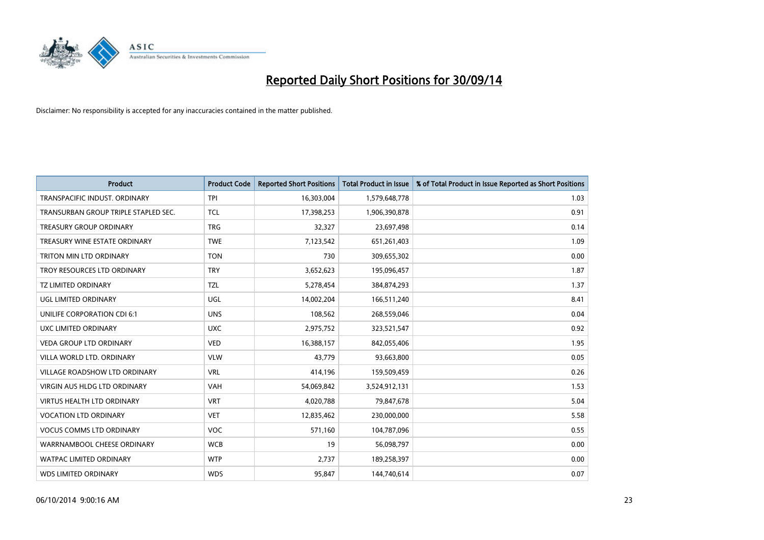

| <b>Product</b>                       | <b>Product Code</b> | <b>Reported Short Positions</b> | <b>Total Product in Issue</b> | % of Total Product in Issue Reported as Short Positions |
|--------------------------------------|---------------------|---------------------------------|-------------------------------|---------------------------------------------------------|
| TRANSPACIFIC INDUST, ORDINARY        | <b>TPI</b>          | 16,303,004                      | 1,579,648,778                 | 1.03                                                    |
| TRANSURBAN GROUP TRIPLE STAPLED SEC. | <b>TCL</b>          | 17,398,253                      | 1,906,390,878                 | 0.91                                                    |
| <b>TREASURY GROUP ORDINARY</b>       | <b>TRG</b>          | 32,327                          | 23,697,498                    | 0.14                                                    |
| TREASURY WINE ESTATE ORDINARY        | <b>TWE</b>          | 7,123,542                       | 651,261,403                   | 1.09                                                    |
| <b>TRITON MIN LTD ORDINARY</b>       | <b>TON</b>          | 730                             | 309,655,302                   | 0.00                                                    |
| TROY RESOURCES LTD ORDINARY          | <b>TRY</b>          | 3,652,623                       | 195,096,457                   | 1.87                                                    |
| <b>TZ LIMITED ORDINARY</b>           | <b>TZL</b>          | 5,278,454                       | 384,874,293                   | 1.37                                                    |
| UGL LIMITED ORDINARY                 | UGL                 | 14,002,204                      | 166,511,240                   | 8.41                                                    |
| UNILIFE CORPORATION CDI 6:1          | <b>UNS</b>          | 108,562                         | 268,559,046                   | 0.04                                                    |
| UXC LIMITED ORDINARY                 | <b>UXC</b>          | 2,975,752                       | 323,521,547                   | 0.92                                                    |
| VEDA GROUP LTD ORDINARY              | <b>VED</b>          | 16,388,157                      | 842,055,406                   | 1.95                                                    |
| VILLA WORLD LTD, ORDINARY            | <b>VLW</b>          | 43,779                          | 93,663,800                    | 0.05                                                    |
| VILLAGE ROADSHOW LTD ORDINARY        | <b>VRL</b>          | 414,196                         | 159,509,459                   | 0.26                                                    |
| <b>VIRGIN AUS HLDG LTD ORDINARY</b>  | <b>VAH</b>          | 54,069,842                      | 3,524,912,131                 | 1.53                                                    |
| <b>VIRTUS HEALTH LTD ORDINARY</b>    | <b>VRT</b>          | 4,020,788                       | 79,847,678                    | 5.04                                                    |
| <b>VOCATION LTD ORDINARY</b>         | <b>VET</b>          | 12,835,462                      | 230,000,000                   | 5.58                                                    |
| <b>VOCUS COMMS LTD ORDINARY</b>      | <b>VOC</b>          | 571,160                         | 104,787,096                   | 0.55                                                    |
| WARRNAMBOOL CHEESE ORDINARY          | <b>WCB</b>          | 19                              | 56,098,797                    | 0.00                                                    |
| <b>WATPAC LIMITED ORDINARY</b>       | <b>WTP</b>          | 2,737                           | 189,258,397                   | 0.00                                                    |
| <b>WDS LIMITED ORDINARY</b>          | <b>WDS</b>          | 95,847                          | 144,740,614                   | 0.07                                                    |